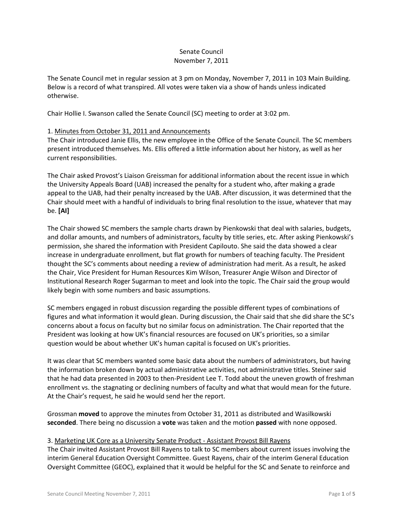#### Senate Council November 7, 2011

The Senate Council met in regular session at 3 pm on Monday, November 7, 2011 in 103 Main Building. Below is a record of what transpired. All votes were taken via a show of hands unless indicated otherwise.

Chair Hollie I. Swanson called the Senate Council (SC) meeting to order at 3:02 pm.

## 1. Minutes from October 31, 2011 and Announcements

The Chair introduced Janie Ellis, the new employee in the Office of the Senate Council. The SC members present introduced themselves. Ms. Ellis offered a little information about her history, as well as her current responsibilities.

The Chair asked Provost's Liaison Greissman for additional information about the recent issue in which the University Appeals Board (UAB) increased the penalty for a student who, after making a grade appeal to the UAB, had their penalty increased by the UAB. After discussion, it was determined that the Chair should meet with a handful of individuals to bring final resolution to the issue, whatever that may be. **[AI]**

The Chair showed SC members the sample charts drawn by Pienkowski that deal with salaries, budgets, and dollar amounts, and numbers of administrators, faculty by title series, etc. After asking Pienkowski's permission, she shared the information with President Capilouto. She said the data showed a clear increase in undergraduate enrollment, but flat growth for numbers of teaching faculty. The President thought the SC's comments about needing a review of administration had merit. As a result, he asked the Chair, Vice President for Human Resources Kim Wilson, Treasurer Angie Wilson and Director of Institutional Research Roger Sugarman to meet and look into the topic. The Chair said the group would likely begin with some numbers and basic assumptions.

SC members engaged in robust discussion regarding the possible different types of combinations of figures and what information it would glean. During discussion, the Chair said that she did share the SC's concerns about a focus on faculty but no similar focus on administration. The Chair reported that the President was looking at how UK's financial resources are focused on UK's priorities, so a similar question would be about whether UK's human capital is focused on UK's priorities.

It was clear that SC members wanted some basic data about the numbers of administrators, but having the information broken down by actual administrative activities, not administrative titles. Steiner said that he had data presented in 2003 to then-President Lee T. Todd about the uneven growth of freshman enrollment vs. the stagnating or declining numbers of faculty and what that would mean for the future. At the Chair's request, he said he would send her the report.

Grossman **moved** to approve the minutes from October 31, 2011 as distributed and Wasilkowski **seconded**. There being no discussion a **vote** was taken and the motion **passed** with none opposed.

#### 3. Marketing UK Core as a University Senate Product - Assistant Provost Bill Rayens

The Chair invited Assistant Provost Bill Rayens to talk to SC members about current issues involving the interim General Education Oversight Committee. Guest Rayens, chair of the interim General Education Oversight Committee (GEOC), explained that it would be helpful for the SC and Senate to reinforce and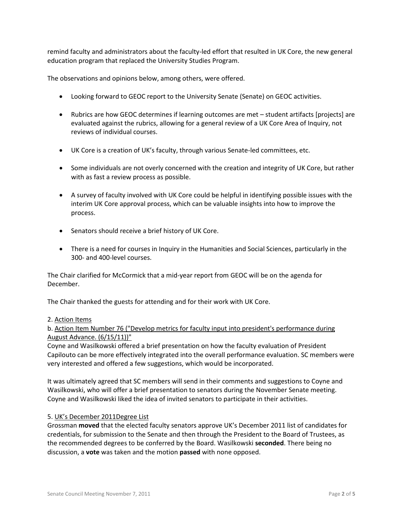remind faculty and administrators about the faculty-led effort that resulted in UK Core, the new general education program that replaced the University Studies Program.

The observations and opinions below, among others, were offered.

- Looking forward to GEOC report to the University Senate (Senate) on GEOC activities.
- Rubrics are how GEOC determines if learning outcomes are met student artifacts [projects] are evaluated against the rubrics, allowing for a general review of a UK Core Area of Inquiry, not reviews of individual courses.
- UK Core is a creation of UK's faculty, through various Senate-led committees, etc.
- Some individuals are not overly concerned with the creation and integrity of UK Core, but rather with as fast a review process as possible.
- A survey of faculty involved with UK Core could be helpful in identifying possible issues with the interim UK Core approval process, which can be valuable insights into how to improve the process.
- Senators should receive a brief history of UK Core.
- There is a need for courses in Inquiry in the Humanities and Social Sciences, particularly in the 300- and 400-level courses.

The Chair clarified for McCormick that a mid-year report from GEOC will be on the agenda for December.

The Chair thanked the guests for attending and for their work with UK Core.

## 2. Action Items

b. Action Item Number 76 ("Develop metrics for faculty input into president's performance during August Advance. (6/15/11))"

Coyne and Wasilkowski offered a brief presentation on how the faculty evaluation of President Capilouto can be more effectively integrated into the overall performance evaluation. SC members were very interested and offered a few suggestions, which would be incorporated.

It was ultimately agreed that SC members will send in their comments and suggestions to Coyne and Wasilkowski, who will offer a brief presentation to senators during the November Senate meeting. Coyne and Wasilkowski liked the idea of invited senators to participate in their activities.

## 5. UK's December 2011Degree List

Grossman **moved** that the elected faculty senators approve UK's December 2011 list of candidates for credentials, for submission to the Senate and then through the President to the Board of Trustees, as the recommended degrees to be conferred by the Board. Wasilkowski **seconded**. There being no discussion, a **vote** was taken and the motion **passed** with none opposed.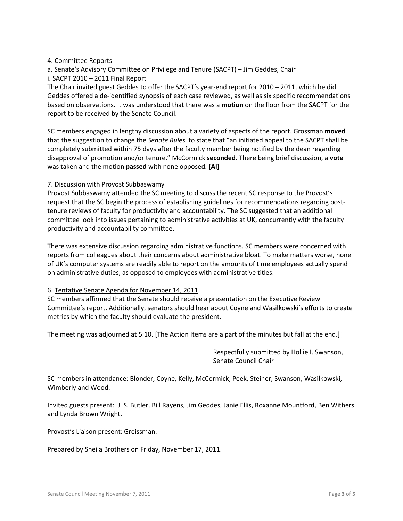## 4. Committee Reports

# a. Senate's Advisory Committee on Privilege and Tenure (SACPT) – Jim Geddes, Chair i. SACPT 2010 – 2011 Final Report

The Chair invited guest Geddes to offer the SACPT's year-end report for 2010 – 2011, which he did. Geddes offered a de-identified synopsis of each case reviewed, as well as six specific recommendations based on observations. It was understood that there was a **motion** on the floor from the SACPT for the report to be received by the Senate Council.

SC members engaged in lengthy discussion about a variety of aspects of the report. Grossman **moved** that the suggestion to change the *Senate Rules* to state that "an initiated appeal to the SACPT shall be completely submitted within 75 days after the faculty member being notified by the dean regarding disapproval of promotion and/or tenure." McCormick **seconded**. There being brief discussion, a **vote** was taken and the motion **passed** with none opposed. **[AI]**

## 7. Discussion with Provost Subbaswamy

Provost Subbaswamy attended the SC meeting to discuss the recent SC response to the Provost's request that the SC begin the process of establishing guidelines for recommendations regarding posttenure reviews of faculty for productivity and accountability. The SC suggested that an additional committee look into issues pertaining to administrative activities at UK, concurrently with the faculty productivity and accountability committee.

There was extensive discussion regarding administrative functions. SC members were concerned with reports from colleagues about their concerns about administrative bloat. To make matters worse, none of UK's computer systems are readily able to report on the amounts of time employees actually spend on administrative duties, as opposed to employees with administrative titles.

## 6. Tentative Senate Agenda for November 14, 2011

SC members affirmed that the Senate should receive a presentation on the Executive Review Committee's report. Additionally, senators should hear about Coyne and Wasilkowski's efforts to create metrics by which the faculty should evaluate the president.

The meeting was adjourned at 5:10. [The Action Items are a part of the minutes but fall at the end.]

Respectfully submitted by Hollie I. Swanson, Senate Council Chair

SC members in attendance: Blonder, Coyne, Kelly, McCormick, Peek, Steiner, Swanson, Wasilkowski, Wimberly and Wood.

Invited guests present: J. S. Butler, Bill Rayens, Jim Geddes, Janie Ellis, Roxanne Mountford, Ben Withers and Lynda Brown Wright.

Provost's Liaison present: Greissman.

Prepared by Sheila Brothers on Friday, November 17, 2011.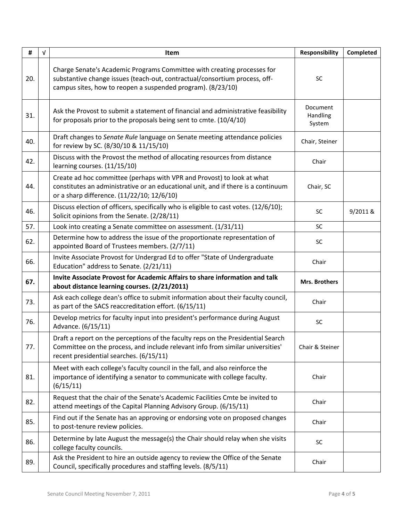| #   | $\sqrt{ }$ | <b>Item</b>                                                                                                                                                                                                          | Responsibility                 | Completed |
|-----|------------|----------------------------------------------------------------------------------------------------------------------------------------------------------------------------------------------------------------------|--------------------------------|-----------|
| 20. |            | Charge Senate's Academic Programs Committee with creating processes for<br>substantive change issues (teach-out, contractual/consortium process, off-<br>campus sites, how to reopen a suspended program). (8/23/10) | <b>SC</b>                      |           |
| 31. |            | Ask the Provost to submit a statement of financial and administrative feasibility<br>for proposals prior to the proposals being sent to cmte. (10/4/10)                                                              | Document<br>Handling<br>System |           |
| 40. |            | Draft changes to Senate Rule language on Senate meeting attendance policies<br>for review by SC. (8/30/10 & 11/15/10)                                                                                                | Chair, Steiner                 |           |
| 42. |            | Discuss with the Provost the method of allocating resources from distance<br>learning courses. (11/15/10)                                                                                                            | Chair                          |           |
| 44. |            | Create ad hoc committee (perhaps with VPR and Provost) to look at what<br>constitutes an administrative or an educational unit, and if there is a continuum<br>or a sharp difference. (11/22/10; 12/6/10)            | Chair, SC                      |           |
| 46. |            | Discuss election of officers, specifically who is eligible to cast votes. (12/6/10);<br>Solicit opinions from the Senate. (2/28/11)                                                                                  | SC                             | 9/2011 &  |
| 57. |            | Look into creating a Senate committee on assessment. (1/31/11)                                                                                                                                                       | SC                             |           |
| 62. |            | Determine how to address the issue of the proportionate representation of<br>appointed Board of Trustees members. (2/7/11)                                                                                           | SC                             |           |
| 66. |            | Invite Associate Provost for Undergrad Ed to offer "State of Undergraduate<br>Education" address to Senate. (2/21/11)                                                                                                | Chair                          |           |
| 67. |            | Invite Associate Provost for Academic Affairs to share information and talk<br>about distance learning courses. (2/21/2011)                                                                                          | <b>Mrs. Brothers</b>           |           |
| 73. |            | Ask each college dean's office to submit information about their faculty council,<br>as part of the SACS reaccreditation effort. (6/15/11)                                                                           | Chair                          |           |
| 76. |            | Develop metrics for faculty input into president's performance during August<br>Advance. (6/15/11)                                                                                                                   | SC                             |           |
| 77. |            | Draft a report on the perceptions of the faculty reps on the Presidential Search<br>Committee on the process, and include relevant info from similar universities'<br>recent presidential searches. (6/15/11)        | Chair & Steiner                |           |
| 81. |            | Meet with each college's faculty council in the fall, and also reinforce the<br>importance of identifying a senator to communicate with college faculty.<br>(6/15/11)                                                | Chair                          |           |
| 82. |            | Request that the chair of the Senate's Academic Facilities Cmte be invited to<br>attend meetings of the Capital Planning Advisory Group. (6/15/11)                                                                   | Chair                          |           |
| 85. |            | Find out if the Senate has an approving or endorsing vote on proposed changes<br>to post-tenure review policies.                                                                                                     | Chair                          |           |
| 86. |            | Determine by late August the message(s) the Chair should relay when she visits<br>college faculty councils.                                                                                                          | SC                             |           |
| 89. |            | Ask the President to hire an outside agency to review the Office of the Senate<br>Council, specifically procedures and staffing levels. (8/5/11)                                                                     | Chair                          |           |